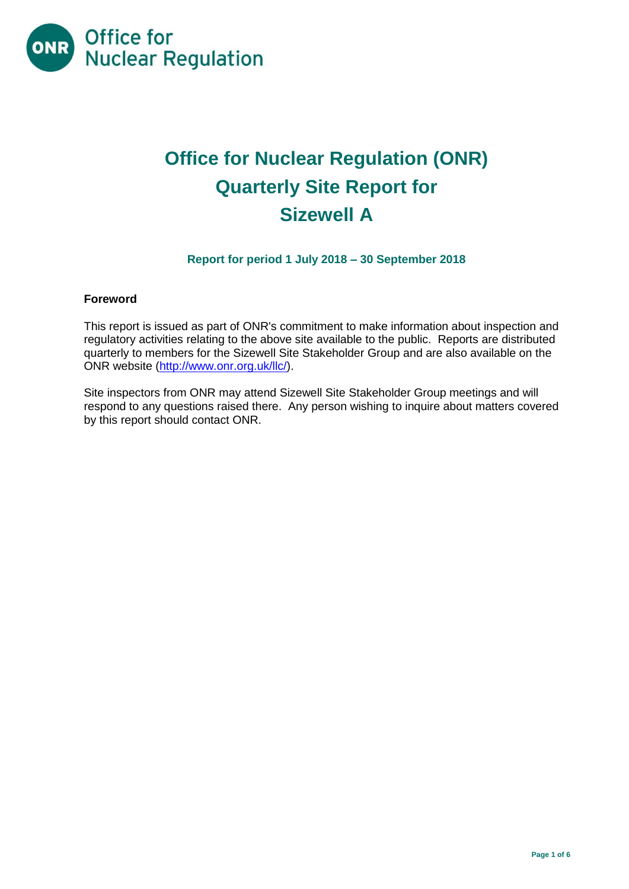

# **Office for Nuclear Regulation (ONR) Quarterly Site Report for Sizewell A**

# **Report for period 1 July 2018 – 30 September 2018**

#### **Foreword**

This report is issued as part of ONR's commitment to make information about inspection and regulatory activities relating to the above site available to the public. Reports are distributed quarterly to members for the Sizewell Site Stakeholder Group and are also available on the ONR website [\(http://www.onr.org.uk/llc/\)](http://www.onr.org.uk/llc/).

Site inspectors from ONR may attend Sizewell Site Stakeholder Group meetings and will respond to any questions raised there. Any person wishing to inquire about matters covered by this report should contact ONR.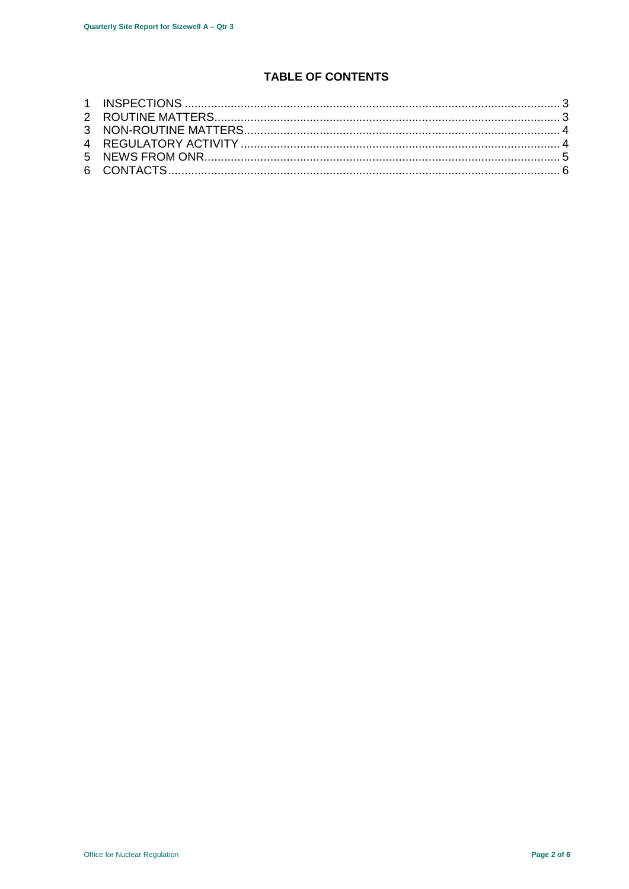# **TABLE OF CONTENTS**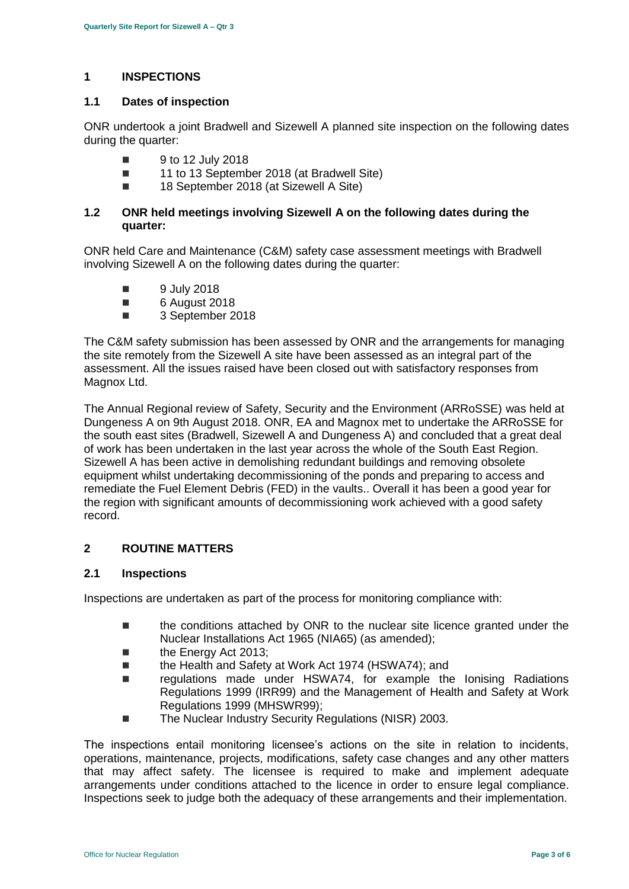### <span id="page-2-0"></span>**1 INSPECTIONS**

#### **1.1 Dates of inspection**

ONR undertook a joint Bradwell and Sizewell A planned site inspection on the following dates during the quarter:

- $\blacksquare$  9 to 12 July 2018
- 11 to 13 September 2018 (at Bradwell Site)
- 18 September 2018 (at Sizewell A Site)

#### **1.2 ONR held meetings involving Sizewell A on the following dates during the quarter:**

ONR held Care and Maintenance (C&M) safety case assessment meetings with Bradwell involving Sizewell A on the following dates during the quarter:

- **9 July 2018**
- 6 August 2018
- 3 September 2018

The C&M safety submission has been assessed by ONR and the arrangements for managing the site remotely from the Sizewell A site have been assessed as an integral part of the assessment. All the issues raised have been closed out with satisfactory responses from Magnox Ltd.

The Annual Regional review of Safety, Security and the Environment (ARRoSSE) was held at Dungeness A on 9th August 2018. ONR, EA and Magnox met to undertake the ARRoSSE for the south east sites (Bradwell, Sizewell A and Dungeness A) and concluded that a great deal of work has been undertaken in the last year across the whole of the South East Region. Sizewell A has been active in demolishing redundant buildings and removing obsolete equipment whilst undertaking decommissioning of the ponds and preparing to access and remediate the Fuel Element Debris (FED) in the vaults.. Overall it has been a good year for the region with significant amounts of decommissioning work achieved with a good safety record.

## <span id="page-2-1"></span>**2 ROUTINE MATTERS**

### **2.1 Inspections**

Inspections are undertaken as part of the process for monitoring compliance with:

- the conditions attached by ONR to the nuclear site licence granted under the Nuclear Installations Act 1965 (NIA65) (as amended);
- the Energy Act 2013;
- the Health and Safety at Work Act 1974 (HSWA74); and
- regulations made under HSWA74, for example the Ionising Radiations Regulations 1999 (IRR99) and the Management of Health and Safety at Work Regulations 1999 (MHSWR99);
- The Nuclear Industry Security Regulations (NISR) 2003.

The inspections entail monitoring licensee's actions on the site in relation to incidents, operations, maintenance, projects, modifications, safety case changes and any other matters that may affect safety. The licensee is required to make and implement adequate arrangements under conditions attached to the licence in order to ensure legal compliance. Inspections seek to judge both the adequacy of these arrangements and their implementation.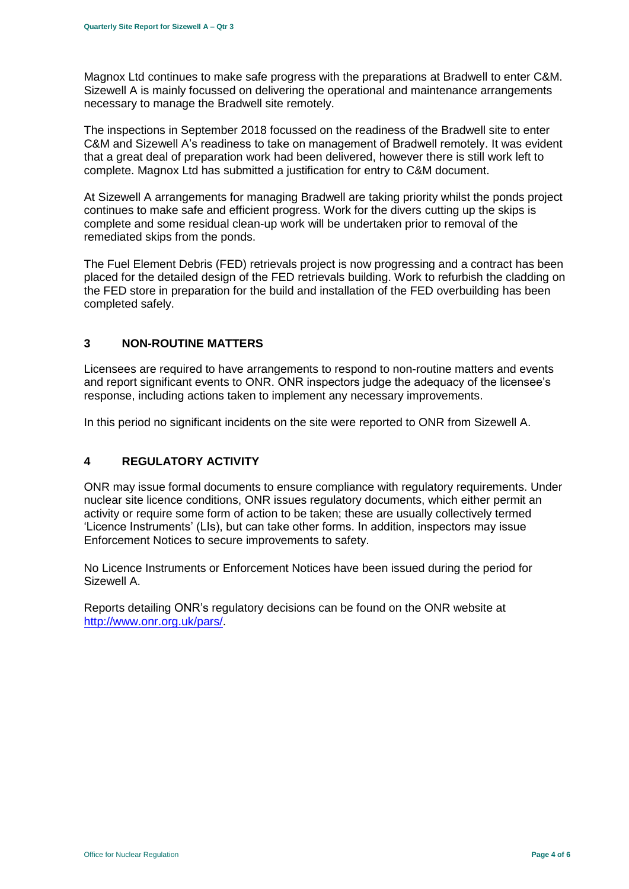Magnox Ltd continues to make safe progress with the preparations at Bradwell to enter C&M. Sizewell A is mainly focussed on delivering the operational and maintenance arrangements necessary to manage the Bradwell site remotely.

The inspections in September 2018 focussed on the readiness of the Bradwell site to enter C&M and Sizewell A's readiness to take on management of Bradwell remotely. It was evident that a great deal of preparation work had been delivered, however there is still work left to complete. Magnox Ltd has submitted a justification for entry to C&M document.

At Sizewell A arrangements for managing Bradwell are taking priority whilst the ponds project continues to make safe and efficient progress. Work for the divers cutting up the skips is complete and some residual clean-up work will be undertaken prior to removal of the remediated skips from the ponds.

The Fuel Element Debris (FED) retrievals project is now progressing and a contract has been placed for the detailed design of the FED retrievals building. Work to refurbish the cladding on the FED store in preparation for the build and installation of the FED overbuilding has been completed safely.

### <span id="page-3-0"></span>**3 NON-ROUTINE MATTERS**

Licensees are required to have arrangements to respond to non-routine matters and events and report significant events to ONR. ONR inspectors judge the adequacy of the licensee's response, including actions taken to implement any necessary improvements.

In this period no significant incidents on the site were reported to ONR from Sizewell A.

# <span id="page-3-1"></span>**4 REGULATORY ACTIVITY**

ONR may issue formal documents to ensure compliance with regulatory requirements. Under nuclear site licence conditions, ONR issues regulatory documents, which either permit an activity or require some form of action to be taken; these are usually collectively termed 'Licence Instruments' (LIs), but can take other forms. In addition, inspectors may issue Enforcement Notices to secure improvements to safety.

No Licence Instruments or Enforcement Notices have been issued during the period for Sizewell A.

Reports detailing ONR's regulatory decisions can be found on the ONR website at [http://www.onr.org.uk/pars/.](http://www.onr.org.uk/pars/)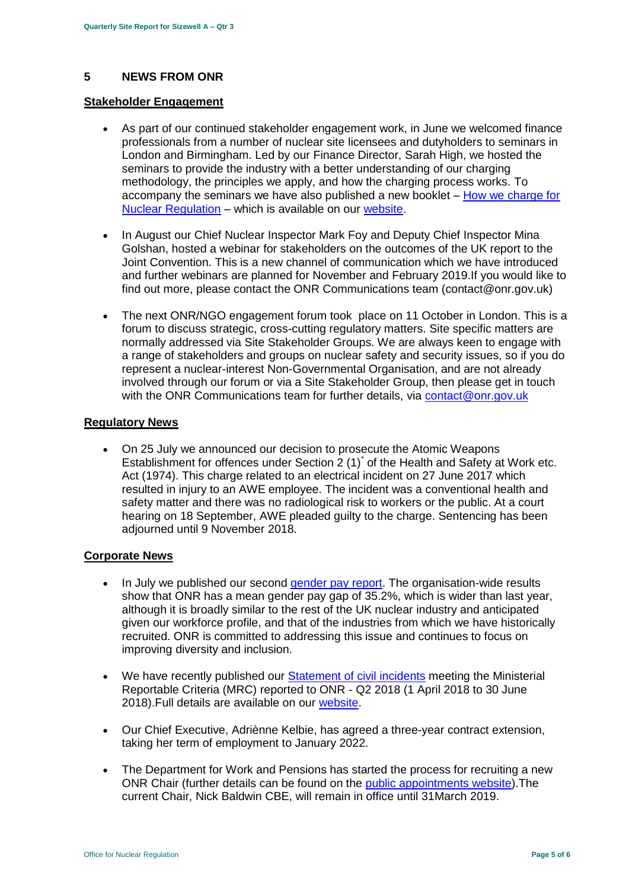### <span id="page-4-0"></span>**5 NEWS FROM ONR**

#### **Stakeholder Engagement**

- As part of our continued stakeholder engagement work, in June we welcomed finance professionals from a number of nuclear site licensees and dutyholders to seminars in London and Birmingham. Led by our Finance Director, Sarah High, we hosted the seminars to provide the industry with a better understanding of our charging methodology, the principles we apply, and how the charging process works. To accompany the seminars we have also published a new booklet – [How we charge for](http://www.onr.org.uk/documents/2018/how-we-charge-for-nuclear-regulation.pdf)  [Nuclear Regulation](http://www.onr.org.uk/documents/2018/how-we-charge-for-nuclear-regulation.pdf) – which is available on our [website.](http://www.onr.org.uk/documents/2018/how-we-charge-for-nuclear-regulation.pdf)
- In August our Chief Nuclear Inspector Mark Foy and Deputy Chief Inspector Mina Golshan, hosted a webinar for stakeholders on the outcomes of the UK report to the Joint Convention. This is a new channel of communication which we have introduced and further webinars are planned for November and February 2019.If you would like to find out more, please contact the ONR Communications team (contact@onr.gov.uk)
- The next ONR/NGO engagement forum took place on 11 October in London. This is a forum to discuss strategic, cross-cutting regulatory matters. Site specific matters are normally addressed via Site Stakeholder Groups. We are always keen to engage with a range of stakeholders and groups on nuclear safety and security issues, so if you do represent a nuclear-interest Non-Governmental Organisation, and are not already involved through our forum or via a Site Stakeholder Group, then please get in touch with the ONR Communications team for further details, via [contact@onr.gov.uk](mailto:contact@onr.gov.uk)

#### **Regulatory News**

 On 25 July we announced our decision to prosecute the Atomic Weapons Establishment for offences under Section  $2(1)^{r}$  of the Health and Safety at Work etc. Act (1974). This charge related to an electrical incident on 27 June 2017 which resulted in injury to an AWE employee. The incident was a conventional health and safety matter and there was no radiological risk to workers or the public. At a court hearing on 18 September, AWE pleaded guilty to the charge. Sentencing has been adjourned until 9 November 2018.

#### **Corporate News**

- In July we published our second [gender pay report.](http://news.onr.org.uk/2018/07/onr-publishes-second-gender-pay-report/) The organisation-wide results show that ONR has a mean gender pay gap of 35.2%, which is wider than last year, although it is broadly similar to the rest of the UK nuclear industry and anticipated given our workforce profile, and that of the industries from which we have historically recruited. ONR is committed to addressing this issue and continues to focus on improving diversity and inclusion.
- We have recently published our [Statement of civil incidents](http://www.onr.org.uk/quarterly-stat/2018-2.htm) meeting the Ministerial Reportable Criteria (MRC) reported to ONR - Q2 2018 (1 April 2018 to 30 June 2018).Full details are available on our [website.](http://www.onr.org.uk/quarterly-stat/2018-2.htm)
- Our Chief Executive, Adriènne Kelbie, has agreed a three-year contract extension, taking her term of employment to January 2022.
- The Department for Work and Pensions has started the process for recruiting a new ONR Chair (further details can be found on the [public appointments website\)](https://publicappointments.cabinetoffice.gov.uk/appointment/chair-the-office-for-nuclear-regulations/).The current Chair, Nick Baldwin CBE, will remain in office until 31March 2019.